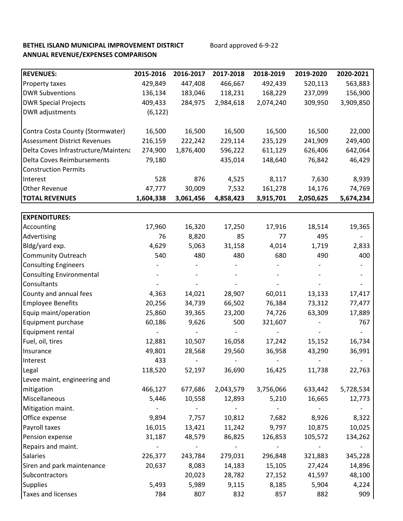# **BETHEL ISLAND MUNICIPAL IMPROVEMENT DISTRICT** Board approved 6-9-22 **ANNUAL REVENUE/EXPENSES COMPARISON**

| <b>REVENUES:</b>                    | 2015-2016 | 2016-2017 | 2017-2018 | 2018-2019 | 2019-2020 | 2020-2021 |
|-------------------------------------|-----------|-----------|-----------|-----------|-----------|-----------|
| Property taxes                      | 429,849   | 447,408   | 466,667   | 492,439   | 520,113   | 563,883   |
| <b>DWR Subventions</b>              | 136,134   | 183,046   | 118,231   | 168,229   | 237,099   | 156,900   |
| <b>DWR Special Projects</b>         | 409,433   | 284,975   | 2,984,618 | 2,074,240 | 309,950   | 3,909,850 |
| DWR adjustments                     | (6, 122)  |           |           |           |           |           |
|                                     |           |           |           |           |           |           |
| Contra Costa County (Stormwater)    | 16,500    | 16,500    | 16,500    | 16,500    | 16,500    | 22,000    |
| <b>Assessment District Revenues</b> | 216,159   | 222,242   | 229,114   | 235,129   | 241,909   | 249,400   |
| Delta Coves Infrastructure/Maintena | 274,900   | 1,876,400 | 596,222   | 611,129   | 626,406   | 642,064   |
| Delta Coves Reimbursements          | 79,180    |           | 435,014   | 148,640   | 76,842    | 46,429    |
| <b>Construction Permits</b>         |           |           |           |           |           |           |
| Interest                            | 528       | 876       | 4,525     | 8,117     | 7,630     | 8,939     |
| <b>Other Revenue</b>                | 47,777    | 30,009    | 7,532     | 161,278   | 14,176    | 74,769    |
| <b>TOTAL REVENUES</b>               | 1,604,338 | 3,061,456 | 4,858,423 | 3,915,701 | 2,050,625 | 5,674,234 |
|                                     |           |           |           |           |           |           |
| <b>EXPENDITURES:</b>                |           |           |           |           |           |           |
| Accounting                          | 17,960    | 16,320    | 17,250    | 17,916    | 18,514    | 19,365    |
| Advertising                         | 76        | 8,820     | 85        | 77        | 495       |           |
| Bldg/yard exp.                      | 4,629     | 5,063     | 31,158    | 4,014     | 1,719     | 2,833     |
| <b>Community Outreach</b>           | 540       | 480       | 480       | 680       | 490       | 400       |
| <b>Consulting Engineers</b>         |           |           |           |           |           |           |
| <b>Consulting Environmental</b>     |           |           |           |           |           |           |
| Consultants                         |           |           |           |           |           |           |
| County and annual fees              | 4,363     | 14,021    | 28,907    | 60,011    | 13,133    | 17,417    |
| <b>Employee Benefits</b>            | 20,256    | 34,739    | 66,502    | 76,384    | 73,312    | 77,477    |
| Equip maint/operation               | 25,860    | 39,365    | 23,200    | 74,726    | 63,309    | 17,889    |
| Equipment purchase                  | 60,186    | 9,626     | 500       | 321,607   |           | 767       |
| Equipment rental                    |           |           |           |           |           |           |
| Fuel, oil, tires                    | 12,881    | 10,507    | 16,058    | 17,242    | 15,152    | 16,734    |
| Insurance                           | 49,801    | 28,568    | 29,560    | 36,958    | 43,290    | 36,991    |
| Interest                            | 433       |           |           |           |           |           |
| Legal                               | 118,520   | 52,197    | 36,690    | 16,425    | 11,738    | 22,763    |
| Levee maint, engineering and        |           |           |           |           |           |           |
| mitigation                          | 466,127   | 677,686   | 2,043,579 | 3,756,066 | 633,442   | 5,728,534 |
| Miscellaneous                       | 5,446     | 10,558    | 12,893    | 5,210     | 16,665    | 12,773    |
| Mitigation maint.                   |           |           |           |           |           |           |
| Office expense                      | 9,894     | 7,757     | 10,812    | 7,682     | 8,926     | 8,322     |
| Payroll taxes                       | 16,015    | 13,421    | 11,242    | 9,797     | 10,875    | 10,025    |
| Pension expense                     | 31,187    | 48,579    | 86,825    | 126,853   | 105,572   | 134,262   |
| Repairs and maint.                  |           |           |           |           |           |           |
| Salaries                            | 226,377   | 243,784   | 279,031   | 296,848   | 321,883   | 345,228   |
| Siren and park maintenance          | 20,637    | 8,083     | 14,183    | 15,105    | 27,424    | 14,896    |
| Subcontractors                      |           | 20,023    | 28,782    | 27,152    | 41,597    | 48,100    |
| <b>Supplies</b>                     | 5,493     | 5,989     | 9,115     | 8,185     | 5,904     | 4,224     |
| Taxes and licenses                  | 784       | 807       | 832       | 857       | 882       | 909       |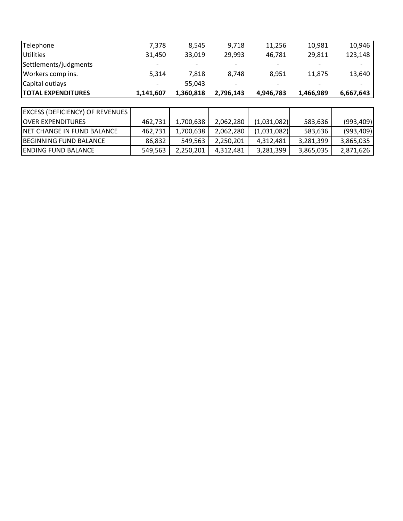| <b>TOTAL EXPENDITURES</b> | 1,141,607                | 1,360,818 | 2,796,143                | 4,946,783                | 1,466,989                | 6,667,643 |
|---------------------------|--------------------------|-----------|--------------------------|--------------------------|--------------------------|-----------|
| Capital outlays           |                          | 55.043    | $\overline{\phantom{a}}$ | $\overline{\phantom{a}}$ | $\overline{\phantom{0}}$ |           |
| Workers comp ins.         | 5.314                    | 7.818     | 8.748                    | 8.951                    | 11.875                   | 13,640    |
| Settlements/judgments     | $\overline{\phantom{0}}$ |           | ۰                        | $\overline{\phantom{0}}$ | $\overline{\phantom{a}}$ |           |
| <b>Utilities</b>          | 31,450                   | 33,019    | 29.993                   | 46.781                   | 29.811                   | 123,148   |
| Telephone                 | 7,378                    | 8.545     | 9,718                    | 11,256                   | 10,981                   | 10,946    |

| <b>EXCESS (DEFICIENCY) OF REVENUES</b> |         |           |           |             |           |            |
|----------------------------------------|---------|-----------|-----------|-------------|-----------|------------|
| <b>JOVER EXPENDITURES</b>              | 462.731 | 1,700,638 | 2.062.280 | (1,031,082) | 583,636   | (993, 409) |
| <b>INET CHANGE IN FUND BALANCE</b>     | 462,731 | 1,700,638 | 2,062,280 | (1,031,082) | 583,636   | (993, 409) |
| BEGINNING FUND BALANCE                 | 86.832  | 549.563   | 2,250,201 | 4,312,481   | 3,281,399 | 3,865,035  |
| <b>ENDING FUND BALANCE</b>             | 549,563 | 2,250,201 | 4,312,481 | 3,281,399   | 3,865,035 | 2,871,626  |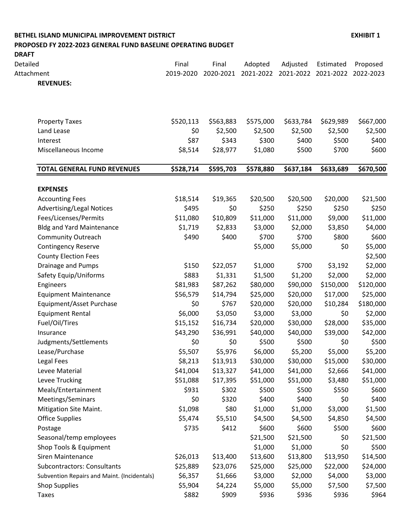## **BETHEL ISLAND MUNICIPAL IMPROVEMENT DISTRICT EXHIBIT 1 PROPOSED FY 2022-2023 GENERAL FUND BASELINE OPERATING BUDGET**

| <b>DRAFT</b> |                                             |           |           |           |           |           |           |
|--------------|---------------------------------------------|-----------|-----------|-----------|-----------|-----------|-----------|
| Detailed     |                                             | Final     | Final     | Adopted   | Adjusted  | Estimated | Proposed  |
| Attachment   |                                             | 2019-2020 | 2020-2021 | 2021-2022 | 2021-2022 | 2021-2022 | 2022-2023 |
|              | <b>REVENUES:</b>                            |           |           |           |           |           |           |
|              | <b>Property Taxes</b>                       | \$520,113 | \$563,883 | \$575,000 | \$633,784 | \$629,989 | \$667,000 |
|              | Land Lease                                  | \$0       | \$2,500   | \$2,500   | \$2,500   | \$2,500   | \$2,500   |
|              | Interest                                    | \$87      | \$343     | \$300     | \$400     | \$500     | \$40C     |
|              | Miscellaneous Income                        | \$8,514   | \$28,977  | \$1,080   | \$500     | \$700     | \$600     |
|              | <b>TOTAL GENERAL FUND REVENUES</b>          | \$528,714 | \$595,703 | \$578,880 | \$637,184 | \$633,689 | \$670,500 |
|              | <b>EXPENSES</b>                             |           |           |           |           |           |           |
|              | <b>Accounting Fees</b>                      | \$18,514  | \$19,365  | \$20,500  | \$20,500  | \$20,000  | \$21,500  |
|              | <b>Advertising/Legal Notices</b>            | \$495     | \$0       | \$250     | \$250     | \$250     | \$250     |
|              | Fees/Licenses/Permits                       | \$11,080  | \$10,809  | \$11,000  | \$11,000  | \$9,000   | \$11,000  |
|              | <b>Bldg and Yard Maintenance</b>            | \$1,719   | \$2,833   | \$3,000   | \$2,000   | \$3,850   | \$4,000   |
|              | <b>Community Outreach</b>                   | \$490     | \$400     | \$700     | \$700     | \$800     | \$600     |
|              | <b>Contingency Reserve</b>                  |           |           | \$5,000   | \$5,000   | \$0       | \$5,000   |
|              | <b>County Election Fees</b>                 |           |           |           |           |           | \$2,500   |
|              | Drainage and Pumps                          | \$150     | \$22,057  | \$1,000   | \$700     | \$3,192   | \$2,000   |
|              | Safety Equip/Uniforms                       | \$883     | \$1,331   | \$1,500   | \$1,200   | \$2,000   | \$2,000   |
|              | Engineers                                   | \$81,983  | \$87,262  | \$80,000  | \$90,000  | \$150,000 | \$120,000 |
|              | <b>Equipment Maintenance</b>                | \$56,579  | \$14,794  | \$25,000  | \$20,000  | \$17,000  | \$25,000  |
|              | Equipment/Asset Purchase                    | \$0       | \$767     | \$20,000  | \$20,000  | \$10,284  | \$180,000 |
|              | <b>Equipment Rental</b>                     | \$6,000   | \$3,050   | \$3,000   | \$3,000   | \$0       | \$2,000   |
|              | Fuel/Oil/Tires                              | \$15,152  | \$16,734  | \$20,000  | \$30,000  | \$28,000  | \$35,000  |
|              | Insurance                                   | \$43,290  | \$36,991  | \$40,000  | \$40,000  | \$39,000  | \$42,000  |
|              | Judgments/Settlements                       | \$0       | \$0       | \$500     | \$500     | \$0       | \$50C     |
|              | Lease/Purchase                              | \$5,507   | \$5,976   | \$6,000   | \$5,200   | \$5,000   | \$5,200   |
|              | Legal Fees                                  | \$8,213   | \$13,913  | \$30,000  | \$30,000  | \$15,000  | \$30,000  |
|              | Levee Material                              | \$41,004  | \$13,327  | \$41,000  | \$41,000  | \$2,666   | \$41,000  |
|              | Levee Trucking                              | \$51,088  | \$17,395  | \$51,000  | \$51,000  | \$3,480   | \$51,000  |
|              | Meals/Entertainment                         | \$931     | \$302     | \$500     | \$500     | \$550     | \$600     |
|              | Meetings/Seminars                           | \$0       | \$320     | \$400     | \$400     | \$0       | \$40C     |
|              | Mitigation Site Maint.                      | \$1,098   | \$80      | \$1,000   | \$1,000   | \$3,000   | \$1,500   |
|              | <b>Office Supplies</b>                      | \$5,474   | \$5,510   | \$4,500   | \$4,500   | \$4,850   | \$4,500   |
|              | Postage                                     | \$735     | \$412     | \$600     | \$600     | \$500     | \$600     |
|              | Seasonal/temp employees                     |           |           | \$21,500  | \$21,500  | \$0       | \$21,500  |
|              | Shop Tools & Equipment                      |           |           | \$1,000   | \$1,000   | \$0       | \$500     |
|              | <b>Siren Maintenance</b>                    | \$26,013  | \$13,400  | \$13,600  | \$13,800  | \$13,950  | \$14,500  |
|              | <b>Subcontractors: Consultants</b>          | \$25,889  | \$23,076  | \$25,000  | \$25,000  | \$22,000  | \$24,000  |
|              | Subvention Repairs and Maint. (Incidentals) | \$6,357   | \$1,666   | \$3,000   | \$2,000   | \$4,000   | \$3,000   |
|              | <b>Shop Supplies</b>                        | \$5,904   | \$4,224   | \$5,000   | \$5,000   | \$7,500   | \$7,500   |
|              | Taxes                                       | \$882     | \$909     | \$936     | \$936     | \$936     | \$964     |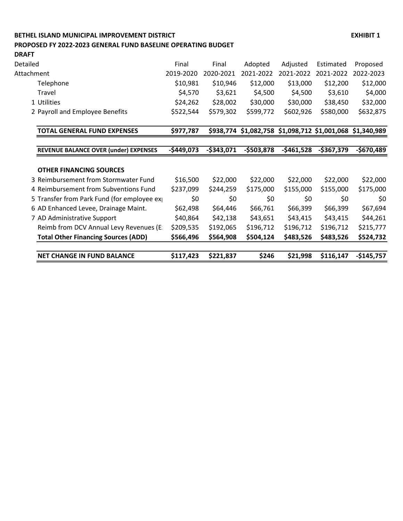## **BETHEL ISLAND MUNICIPAL IMPROVEMENT DISTRICT EXHIBIT 1 PROPOSED FY 2022-2023 GENERAL FUND BASELINE OPERATING BUDGET**

**DRAFT**

| Detailed   |                                            | Final       | Final       | Adopted                                                   | Adjusted    | Estimated   | Proposed    |
|------------|--------------------------------------------|-------------|-------------|-----------------------------------------------------------|-------------|-------------|-------------|
| Attachment |                                            | 2019-2020   | 2020-2021   | 2021-2022                                                 | 2021-2022   | 2021-2022   | 2022-2023   |
|            | Telephone                                  | \$10,981    | \$10,946    | \$12,000                                                  | \$13,000    | \$12,200    | \$12,000    |
|            | Travel                                     | \$4,570     | \$3,621     | \$4,500                                                   | \$4,500     | \$3,610     | \$4,000     |
|            | 1 Utilities                                | \$24,262    | \$28,002    | \$30,000                                                  | \$30,000    | \$38,450    | \$32,000    |
|            | 2 Payroll and Employee Benefits            | \$522,544   | \$579,302   | \$599,772                                                 | \$602,926   | \$580,000   | \$632,875   |
|            | <b>TOTAL GENERAL FUND EXPENSES</b>         | \$977,787   |             | \$938,774 \$1,082,758 \$1,098,712 \$1,001,068 \$1,340,989 |             |             |             |
|            | REVENUE BALANCE OVER (under) EXPENSES      | $-$449,073$ | $-$343,071$ | $-$503,878$                                               | $-5461,528$ | $-$367,379$ | $-$670,489$ |
|            |                                            |             |             |                                                           |             |             |             |
|            | <b>OTHER FINANCING SOURCES</b>             |             |             |                                                           |             |             |             |
|            | 3 Reimbursement from Stormwater Fund       | \$16,500    | \$22,000    | \$22,000                                                  | \$22,000    | \$22,000    | \$22,000    |
|            | 4 Reimbursement from Subventions Fund      | \$237,099   | \$244,259   | \$175,000                                                 | \$155,000   | \$155,000   | \$175,000   |
|            | 5 Transfer from Park Fund (for employee ex | \$0         | \$0         | \$0                                                       | \$0         | \$0         | \$0         |
|            | 6 AD Enhanced Levee, Drainage Maint.       | \$62,498    | \$64,446    | \$66,761                                                  | \$66,399    | \$66,399    | \$67,694    |
|            | 7 AD Administrative Support                | \$40,864    | \$42,138    | \$43,651                                                  | \$43,415    | \$43,415    | \$44,261    |
|            | Reimb from DCV Annual Levy Revenues (E:    | \$209,535   | \$192,065   | \$196,712                                                 | \$196,712   | \$196,712   | \$215,777   |
|            | <b>Total Other Financing Sources (ADD)</b> | \$566,496   | \$564,908   | \$504,124                                                 | \$483,526   | \$483,526   | \$524,732   |
|            | <b>NET CHANGE IN FUND BALANCE</b>          | \$117,423   | \$221,837   | \$246                                                     | \$21,998    | \$116,147   | $-$145,757$ |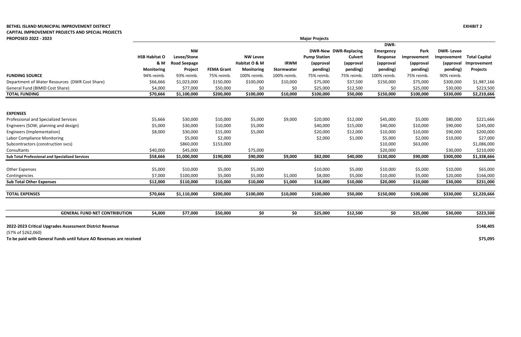## **BETHEL ISLAND MUNICIPAL IMPROVEMENT DISTRICT EXHIBIT 2 CAPITAL IMPROVEMENT PROJECTS AND SPECIAL PROJECTS PROPOSED 2022 - 2023**

|                                                         |                      |                     |                   |                   |             |                     |                              | <b>DWR-</b>      |             |                  |                      |
|---------------------------------------------------------|----------------------|---------------------|-------------------|-------------------|-------------|---------------------|------------------------------|------------------|-------------|------------------|----------------------|
|                                                         |                      | <b>NW</b>           |                   |                   |             |                     | <b>DWR-New DWR-Replacing</b> | <b>Emergency</b> | Park        | <b>DWR-Levee</b> |                      |
|                                                         | <b>HSB Habitat O</b> | Levee/Stone         |                   | <b>NW Levee</b>   |             | <b>Pump Station</b> | <b>Culvert</b>               | Response         | Improvement | Improvement      | <b>Total Capital</b> |
|                                                         | & M                  | <b>Road Seepage</b> |                   | Habitat O & M     | <b>IRWM</b> | (approval           | (approval                    | (approval        | (approval   | (approval        | Improvement          |
|                                                         | <b>Monitoring</b>    | Project             | <b>FEMA Grant</b> | <b>Monitoring</b> | Stormwater  | pending)            | pending)                     | pending)         | pending)    | pending)         | <b>Projects</b>      |
| <b>FUNDING SOURCE</b>                                   | 94% reimb.           | 93% reimb.          | 75% reimb.        | 100% reimb.       | 100% reimb. | 75% reimb.          | 75% reimb.                   | 100% reimb.      | 75% reimb.  | 90% reimb.       |                      |
| Department of Water Resources (DWR Cost Share)          | \$66,666             | \$1,023,000         | \$150,000         | \$100,000         | \$10,000    | \$75,000            | \$37,500                     | \$150,000        | \$75,000    | \$300,000        | \$1,987,166          |
| General Fund (BIMID Cost Share)                         | \$4,000              | \$77,000            | \$50,000          | \$0               | \$0         | \$25,000            | \$12,500                     | \$0              | \$25,000    | \$30,000         | \$223,500            |
| <b>TOTAL FUNDING</b>                                    | \$70,666             | \$1,100,000         | \$200,000         | \$100,000         | \$10,000    | \$100,000           | \$50,000                     | \$150,000        | \$100,000   | \$330,000        | \$2,210,666          |
| <b>EXPENSES</b>                                         |                      |                     |                   |                   |             |                     |                              |                  |             |                  |                      |
| Professional and Specialized Services                   | \$5,666              | \$30,000            | \$10,000          | \$5,000           | \$9,000     | \$20,000            | \$12,000                     | \$45,000         | \$5,000     | \$80,000         | \$221,666            |
| Engineers (SOW, planning and design)                    | \$5,000              | \$30,000            | \$10,000          | \$5,000           |             | \$40,000            | \$15,000                     | \$40,000         | \$10,000    | \$90,000         | \$245,000            |
| Engineers (Implementation)                              | \$8,000              | \$30,000            | \$15,000          | \$5,000           |             | \$20,000            | \$12,000                     | \$10,000         | \$10,000    | \$90,000         | \$200,000            |
| <b>Labor Compliance Monitoring</b>                      |                      | \$5,000             | \$2,000           |                   |             | \$2,000             | \$1,000                      | \$5,000          | \$2,000     | \$10,000         | \$27,000             |
| Subcontractors (construction svcs)                      |                      | \$860,000           | \$153,000         |                   |             |                     |                              | \$10,000         | \$63,000    |                  | \$1,086,000          |
| Consultants                                             | \$40,000             | \$45,000            |                   | \$75,000          |             |                     |                              | \$20,000         |             | \$30,000         | \$210,000            |
| <b>Sub Total Professional and Specialized Services</b>  | \$58,666             | \$1,000,000         | \$190,000         | \$90,000          | \$9,000     | \$82,000            | \$40,000                     | \$130,000        | \$90,000    | \$300,000        | \$1,338,666          |
| <b>Other Expenses</b>                                   | \$5,000              | \$10,000            | \$5,000           | \$5,000           |             | \$10,000            | \$5,000                      | \$10,000         | \$5,000     | \$10,000         | \$65,000             |
| Contingencies                                           | \$7,000              | \$100,000           | \$5,000           | \$5,000           | \$1,000     | \$8,000             | \$5,000                      | \$10,000         | \$5,000     | \$20,000         | \$166,000            |
| <b>Sub Total Other Expenses</b>                         | \$12,000             | \$110,000           | \$10,000          | \$10,000          | \$1,000     | \$18,000            | \$10,000                     | \$20,000         | \$10,000    | \$30,000         | \$231,000            |
| <b>TOTAL EXPENSES</b>                                   | \$70,666             | \$1,110,000         | \$200,000         | \$100,000         | \$10,000    | \$100,000           | \$50,000                     | \$150,000        | \$100,000   | \$330,000        | \$2,220,666          |
|                                                         |                      |                     |                   |                   |             |                     |                              |                  |             |                  |                      |
| <b>GENERAL FUND NET CONTRIBUTION</b>                    | \$4,000              | \$77,000            | \$50,000          | \$0               | \$0         | \$25,000            | \$12,500                     | \$0              | \$25,000    | \$30,000         | \$223,500            |
| 2022-2023 Critical Upgrades Assessment District Revenue |                      |                     |                   |                   |             |                     |                              |                  |             |                  | \$148,405            |
| $(57\% \text{ of } $262.060)$                           |                      |                     |                   |                   |             |                     |                              |                  |             |                  |                      |

**To be paid with General Funds until future AD Revenues are received \$75,095**

(57% of \$262,060)

**Major Projects**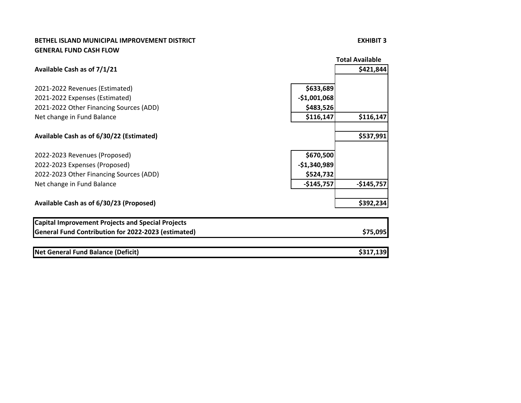## **BETHEL ISLAND MUNICIPAL IMPROVEMENT DISTRICT EXHIBIT 3 GENERAL FUND CASH FLOW**

|                                                                                                                 | <b>Total Available</b> |
|-----------------------------------------------------------------------------------------------------------------|------------------------|
| Available Cash as of 7/1/21                                                                                     | \$421,844              |
| \$633,689<br>2021-2022 Revenues (Estimated)                                                                     |                        |
| $-$1,001,068$<br>2021-2022 Expenses (Estimated)                                                                 |                        |
| \$483,526<br>2021-2022 Other Financing Sources (ADD)                                                            |                        |
| \$116,147<br>Net change in Fund Balance                                                                         | \$116,147              |
| Available Cash as of 6/30/22 (Estimated)                                                                        | \$537,991              |
| \$670,500<br>2022-2023 Revenues (Proposed)                                                                      |                        |
| $-$1,340,989$<br>2022-2023 Expenses (Proposed)                                                                  |                        |
| \$524,732<br>2022-2023 Other Financing Sources (ADD)                                                            |                        |
| $-$145,757$<br>Net change in Fund Balance                                                                       | $-$145,757$            |
| Available Cash as of 6/30/23 (Proposed)                                                                         | \$392,234              |
| <b>Capital Improvement Projects and Special Projects</b><br>General Fund Contribution for 2022-2023 (estimated) | \$75,095               |

| Net General Fund Balance (Deficit) | 130 |
|------------------------------------|-----|
|------------------------------------|-----|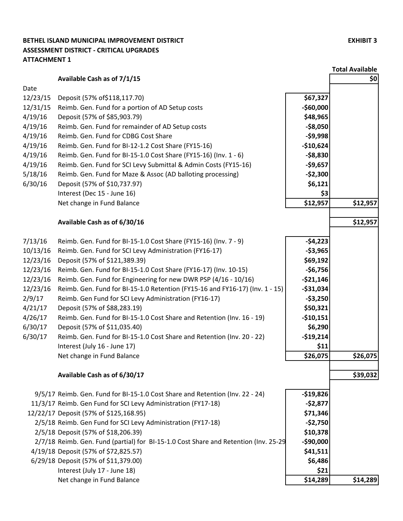## **BETHEL ISLAND MUNICIPAL IMPROVEMENT DISTRICT EXHIBIT 3 ASSESSMENT DISTRICT - CRITICAL UPGRADES ATTACHMENT 1**

|          |                                                                                      |            | <b>Total Available</b> |
|----------|--------------------------------------------------------------------------------------|------------|------------------------|
|          | Available Cash as of 7/1/15                                                          |            | \$0                    |
| Date     |                                                                                      |            |                        |
| 12/23/15 | Deposit (57% of \$118, 117.70)                                                       | \$67,327   |                        |
| 12/31/15 | Reimb. Gen. Fund for a portion of AD Setup costs                                     | $-$60,000$ |                        |
| 4/19/16  | Deposit (57% of \$85,903.79)                                                         | \$48,965   |                        |
| 4/19/16  | Reimb. Gen. Fund for remainder of AD Setup costs                                     | $-58,050$  |                        |
| 4/19/16  | Reimb. Gen. Fund for CDBG Cost Share                                                 | $-59,998$  |                        |
| 4/19/16  | Reimb. Gen. Fund for BI-12-1.2 Cost Share (FY15-16)                                  | $-$10,624$ |                        |
| 4/19/16  | Reimb. Gen. Fund for BI-15-1.0 Cost Share (FY15-16) (Inv. 1 - 6)                     | $-58,830$  |                        |
| 4/19/16  | Reimb. Gen. Fund for SCI Levy Submittal & Admin Costs (FY15-16)                      | $-59,657$  |                        |
| 5/18/16  | Reimb. Gen. Fund for Maze & Assoc (AD balloting processing)                          | $-52,300$  |                        |
| 6/30/16  | Deposit (57% of \$10,737.97)                                                         | \$6,121    |                        |
|          | Interest (Dec 15 - June 16)                                                          | \$3        |                        |
|          | Net change in Fund Balance                                                           | \$12,957   | \$12,957               |
|          |                                                                                      |            |                        |
|          | Available Cash as of 6/30/16                                                         |            | \$12,957               |
| 7/13/16  | Reimb. Gen. Fund for BI-15-1.0 Cost Share (FY15-16) (Inv. 7 - 9)                     | $-54,223$  |                        |
| 10/13/16 | Reimb. Gen. Fund for SCI Levy Administration (FY16-17)                               | $-53,965$  |                        |
| 12/23/16 | Deposit (57% of \$121,389.39)                                                        | \$69,192   |                        |
| 12/23/16 | Reimb. Gen. Fund for BI-15-1.0 Cost Share (FY16-17) (Inv. 10-15)                     | $-56,756$  |                        |
| 12/23/16 | Reimb. Gen. Fund for Engineering for new DWR PSP (4/16 - 10/16)                      | $-521,146$ |                        |
| 12/23/16 | Reimb. Gen. Fund for BI-15-1.0 Retention (FY15-16 and FY16-17) (Inv. 1 - 15)         | $-$31,034$ |                        |
| 2/9/17   | Reimb. Gen Fund for SCI Levy Administration (FY16-17)                                | $-53,250$  |                        |
| 4/21/17  | Deposit (57% of \$88,283.19)                                                         | \$50,321   |                        |
| 4/26/17  | Reimb. Gen. Fund for BI-15-1.0 Cost Share and Retention (Inv. 16 - 19)               | $-$10,151$ |                        |
| 6/30/17  | Deposit (57% of \$11,035.40)                                                         | \$6,290    |                        |
| 6/30/17  | Reimb. Gen. Fund for BI-15-1.0 Cost Share and Retention (Inv. 20 - 22)               | $-$19,214$ |                        |
|          | Interest (July 16 - June 17)                                                         | \$11       |                        |
|          | Net change in Fund Balance                                                           | \$26,075   | \$26,075               |
|          | Available Cash as of 6/30/17                                                         |            | \$39,032               |
|          |                                                                                      |            |                        |
|          | 9/5/17 Reimb. Gen. Fund for BI-15-1.0 Cost Share and Retention (Inv. 22 - 24)        | $-$19,826$ |                        |
|          | 11/3/17 Reimb. Gen Fund for SCI Levy Administration (FY17-18)                        | $-52,877$  |                        |
|          | 12/22/17 Deposit (57% of \$125,168.95)                                               | \$71,346   |                        |
|          | 2/5/18 Reimb. Gen Fund for SCI Levy Administration (FY17-18)                         | $-52,750$  |                        |
|          | 2/5/18 Deposit (57% of \$18,206.39)                                                  | \$10,378   |                        |
|          | 2/7/18 Reimb. Gen. Fund (partial) for BI-15-1.0 Cost Share and Retention (Inv. 25-29 | $-$90,000$ |                        |
|          | 4/19/18 Deposit (57% of \$72,825.57)                                                 | \$41,511   |                        |
|          | 6/29/18 Deposit (57% of \$11,379.00)                                                 | \$6,486    |                        |
|          | Interest (July 17 - June 18)                                                         | \$21       |                        |
|          | Net change in Fund Balance                                                           | \$14,289   | \$14,289               |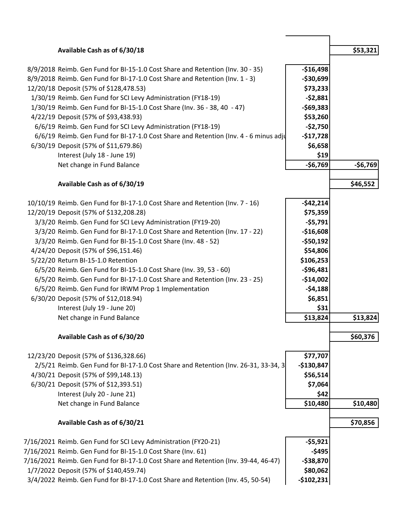|                                        | Available Cash as of 6/30/18                                                         |             | \$53,321  |
|----------------------------------------|--------------------------------------------------------------------------------------|-------------|-----------|
|                                        | 8/9/2018 Reimb. Gen Fund for BI-15-1.0 Cost Share and Retention (Inv. 30 - 35)       | $-$16,498$  |           |
|                                        | 8/9/2018 Reimb. Gen Fund for BI-17-1.0 Cost Share and Retention (Inv. 1 - 3)         | $-$30,699$  |           |
| 12/20/18 Deposit (57% of \$128,478.53) |                                                                                      | \$73,233    |           |
|                                        | 1/30/19 Reimb. Gen Fund for SCI Levy Administration (FY18-19)                        | $-52,881$   |           |
|                                        | 1/30/19 Reimb. Gen Fund for BI-15-1.0 Cost Share (Inv. 36 - 38, 40 - 47)             | $-$69,383$  |           |
| 4/22/19 Deposit (57% of \$93,438.93)   |                                                                                      | \$53,260    |           |
|                                        | 6/6/19 Reimb. Gen Fund for SCI Levy Administration (FY18-19)                         | $-52,750$   |           |
|                                        | 6/6/19 Reimb. Gen Fund for BI-17-1.0 Cost Share and Retention (Inv. 4 - 6 minus adju | $-$17,728$  |           |
| 6/30/19 Deposit (57% of \$11,679.86)   |                                                                                      | \$6,658     |           |
|                                        | Interest (July 18 - June 19)                                                         | \$19        |           |
|                                        | Net change in Fund Balance                                                           | $-56,769$   | $-56,769$ |
|                                        | Available Cash as of 6/30/19                                                         |             | \$46,552  |
|                                        |                                                                                      |             |           |
|                                        | 10/10/19 Reimb. Gen Fund for BI-17-1.0 Cost Share and Retention (Inv. 7 - 16)        | $-542,214$  |           |
| 12/20/19 Deposit (57% of \$132,208.28) |                                                                                      | \$75,359    |           |
|                                        | 3/3/20 Reimb. Gen Fund for SCI Levy Administration (FY19-20)                         | $-55,791$   |           |
|                                        | 3/3/20 Reimb. Gen Fund for BI-17-1.0 Cost Share and Retention (Inv. 17 - 22)         | $-$16,608$  |           |
|                                        | 3/3/20 Reimb. Gen Fund for BI-15-1.0 Cost Share (Inv. 48 - 52)                       | $-$50,192$  |           |
| 4/24/20 Deposit (57% of \$96,151.46)   |                                                                                      | \$54,806    |           |
| 5/22/20 Return BI-15-1.0 Retention     |                                                                                      | \$106,253   |           |
|                                        | 6/5/20 Reimb. Gen Fund for BI-15-1.0 Cost Share (Inv. 39, 53 - 60)                   | $-$96,481$  |           |
|                                        | 6/5/20 Reimb. Gen Fund for BI-17-1.0 Cost Share and Retention (Inv. 23 - 25)         | $-$14,002$  |           |
|                                        | 6/5/20 Reimb. Gen Fund for IRWM Prop 1 Implementation                                | $-54,188$   |           |
| 6/30/20 Deposit (57% of \$12,018.94)   |                                                                                      | \$6,851     |           |
|                                        | Interest (July 19 - June 20)                                                         | \$31        |           |
|                                        | Net change in Fund Balance                                                           | \$13,824    | \$13,824  |
|                                        | Available Cash as of 6/30/20                                                         |             | \$60,376  |
| 12/23/20 Deposit (57% of \$136,328.66) |                                                                                      | \$77,707    |           |
|                                        | 2/5/21 Reimb. Gen Fund for BI-17-1.0 Cost Share and Retention (Inv. 26-31, 33-34, 3) | $-$130,847$ |           |
| 4/30/21 Deposit (57% of \$99,148.13)   |                                                                                      | \$56,514    |           |
| 6/30/21 Deposit (57% of \$12,393.51)   |                                                                                      | \$7,064     |           |
|                                        | Interest (July 20 - June 21)                                                         | \$42        |           |
|                                        | Net change in Fund Balance                                                           | \$10,480    | \$10,480  |
|                                        | Available Cash as of 6/30/21                                                         |             | \$70,856  |
|                                        |                                                                                      |             |           |
|                                        | 7/16/2021 Reimb. Gen Fund for SCI Levy Administration (FY20-21)                      | $-55,921$   |           |
|                                        | 7/16/2021 Reimb. Gen Fund for BI-15-1.0 Cost Share (Inv. 61)                         | $-$ \$495   |           |
|                                        | 7/16/2021 Reimb. Gen Fund for BI-17-1.0 Cost Share and Retention (Inv. 39-44, 46-47) | $-$38,870$  |           |
| 1/7/2022 Deposit (57% of \$140,459.74) |                                                                                      | \$80,062    |           |
|                                        | 3/4/2022 Reimb. Gen Fund for BI-17-1.0 Cost Share and Retention (Inv. 45, 50-54)     | $-$102,231$ |           |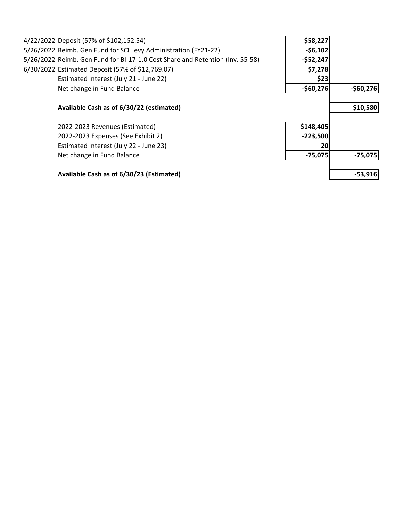| 4/22/2022 Deposit (57% of \$102,152.54)                                       | \$58,227   |            |
|-------------------------------------------------------------------------------|------------|------------|
| 5/26/2022 Reimb. Gen Fund for SCI Levy Administration (FY21-22)               | $-56,102$  |            |
| 5/26/2022 Reimb. Gen Fund for BI-17-1.0 Cost Share and Retention (Inv. 55-58) | $-$52,247$ |            |
| 6/30/2022 Estimated Deposit (57% of \$12,769.07)                              | \$7,278    |            |
| Estimated Interest (July 21 - June 22)                                        | \$23       |            |
| Net change in Fund Balance                                                    | $-$60,276$ | $-$60,276$ |
| Available Cash as of 6/30/22 (estimated)                                      |            | \$10,580   |
| 2022-2023 Revenues (Estimated)                                                | \$148,405  |            |
| 2022-2023 Expenses (See Exhibit 2)                                            | $-223,500$ |            |
| Estimated Interest (July 22 - June 23)                                        | 20         |            |
| Net change in Fund Balance                                                    | $-75,075$  | $-75,075$  |
| Available Cash as of 6/30/23 (Estimated)                                      |            | $-53,916$  |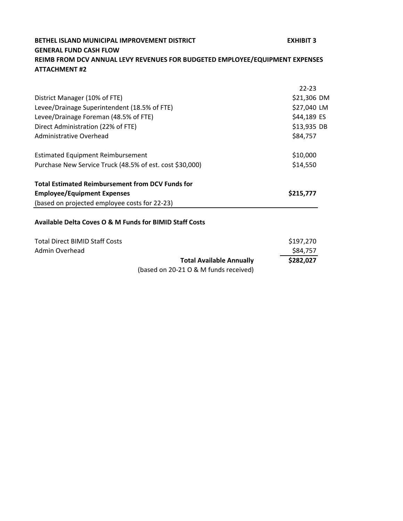# **BETHEL ISLAND MUNICIPAL IMPROVEMENT DISTRICT EXHIBIT 3 GENERAL FUND CASH FLOW REIMB FROM DCV ANNUAL LEVY REVENUES FOR BUDGETED EMPLOYEE/EQUIPMENT EXPENSES ATTACHMENT #2**

|                                                          | $22 - 23$   |
|----------------------------------------------------------|-------------|
| District Manager (10% of FTE)                            | \$21,306 DM |
| Levee/Drainage Superintendent (18.5% of FTE)             | \$27,040 LM |
| Levee/Drainage Foreman (48.5% of FTE)                    | \$44,189 ES |
| Direct Administration (22% of FTE)                       | \$13,935 DB |
| Administrative Overhead                                  | \$84,757    |
| <b>Estimated Equipment Reimbursement</b>                 | \$10,000    |
| Purchase New Service Truck (48.5% of est. cost \$30,000) | \$14,550    |
| <b>Total Estimated Reimbursement from DCV Funds for</b>  |             |
| <b>Employee/Equipment Expenses</b>                       | \$215,777   |
| (based on projected employee costs for 22-23)            |             |
| Available Delta Coves O & M Funds for BIMID Staff Costs  |             |

| Total Direct BIMID Staff Costs |                                       | \$197,270 |
|--------------------------------|---------------------------------------|-----------|
| Admin Overhead                 |                                       | S84.757   |
|                                | <b>Total Available Annually</b>       | \$282,027 |
|                                | (based on 20-21 O & M funds received) |           |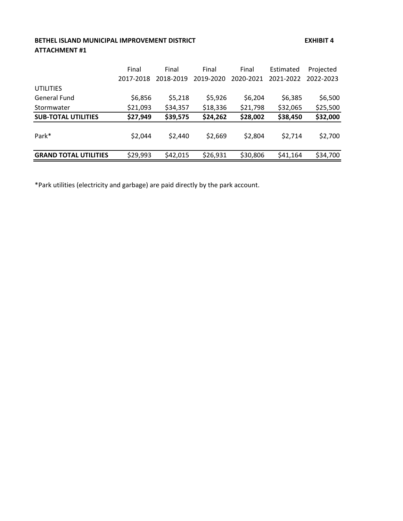# **BETHEL ISLAND MUNICIPAL IMPROVEMENT DISTRICT EXHIBIT 4 ATTACHMENT #1**

|                              | Final     | Final     | Final     | Final     | Estimated | Projected |
|------------------------------|-----------|-----------|-----------|-----------|-----------|-----------|
|                              | 2017-2018 | 2018-2019 | 2019-2020 | 2020-2021 | 2021-2022 | 2022-2023 |
| <b>UTILITIES</b>             |           |           |           |           |           |           |
| General Fund                 | \$6,856   | \$5,218   | \$5,926   | \$6,204   | \$6,385   | \$6,500   |
| Stormwater                   | \$21,093  | \$34,357  | \$18,336  | \$21,798  | \$32,065  | \$25,500  |
| <b>SUB-TOTAL UTILITIES</b>   | \$27,949  | \$39,575  | \$24,262  | \$28,002  | \$38,450  | \$32,000  |
| Park*                        | \$2,044   | \$2,440   | \$2,669   | \$2,804   | \$2,714   | \$2,700   |
| <b>GRAND TOTAL UTILITIES</b> | \$29,993  | \$42,015  | \$26,931  | \$30,806  | \$41,164  | \$34,700  |

\*Park utilities (electricity and garbage) are paid directly by the park account.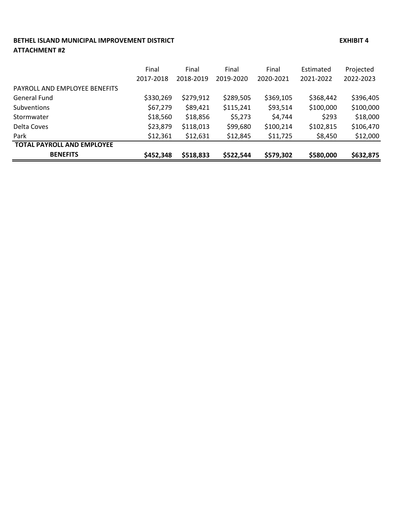#### **BETHEL ISLAND MUNICIPAL IMPROVEMENT DISTRICT EXHIBIT 4 ATTACHMENT #2**

**TOTAL PAYROLL AND EMPLOYEE** 

|                               | Final<br>2017-2018 | Final<br>2018-2019 | Final<br>2019-2020 | Final<br>2020-2021 | Estimated<br>2021-2022 | Projected<br>2022-2023 |
|-------------------------------|--------------------|--------------------|--------------------|--------------------|------------------------|------------------------|
| PAYROLL AND EMPLOYEE BENEFITS |                    |                    |                    |                    |                        |                        |
| General Fund                  | \$330,269          | \$279,912          | \$289,505          | \$369,105          | \$368,442              | \$396,405              |
| <b>Subventions</b>            | \$67,279           | \$89,421           | \$115,241          | \$93,514           | \$100,000              | \$100,000              |
| Stormwater                    | \$18,560           | \$18,856           | \$5,273            | \$4,744            | \$293                  | \$18,000               |
| Delta Coves                   | \$23,879           | \$118,013          | \$99,680           | \$100,214          | \$102,815              | \$106,470              |
| Park                          | \$12,361           | \$12,631           | \$12,845           | \$11,725           | \$8,450                | \$12,000               |

**BENEFITS \$452,348 \$518,833 \$522,544 \$579,302 \$580,000 \$632,875**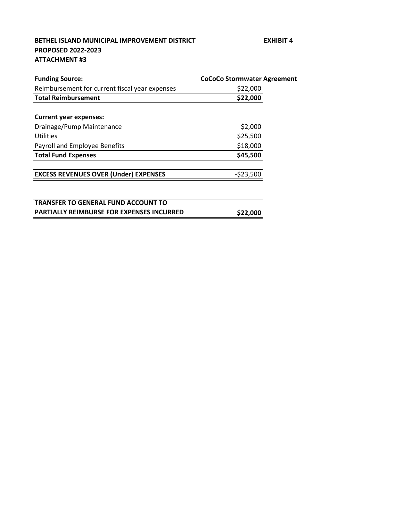## **BETHEL ISLAND MUNICIPAL IMPROVEMENT DISTRICT EXHIBIT 4 PROPOSED 2022-2023 ATTACHMENT #3**

| <b>Funding Source:</b>                           | <b>CoCoCo Stormwater Agreement</b> |
|--------------------------------------------------|------------------------------------|
| Reimbursement for current fiscal year expenses   | \$22,000                           |
| <b>Total Reimbursement</b>                       | \$22,000                           |
|                                                  |                                    |
| <b>Current year expenses:</b>                    |                                    |
| Drainage/Pump Maintenance                        | \$2,000                            |
| Utilities                                        | \$25,500                           |
| Payroll and Employee Benefits                    | \$18,000                           |
| <b>Total Fund Expenses</b>                       | \$45,500                           |
| <b>EXCESS REVENUES OVER (Under) EXPENSES</b>     | $-523,500$                         |
|                                                  |                                    |
| <b>TRANSFER TO GENERAL FUND ACCOUNT TO</b>       |                                    |
| <b>PARTIALLY REIMBURSE FOR EXPENSES INCURRED</b> | \$22,000                           |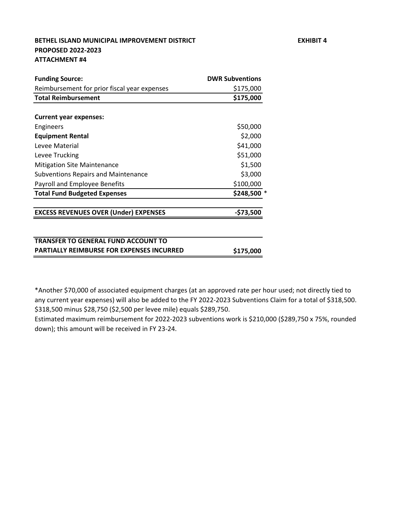### **BETHEL ISLAND MUNICIPAL IMPROVEMENT DISTRICT EXHIBIT 4 PROPOSED 2022-2023 ATTACHMENT #4**

| <b>Funding Source:</b>                       | <b>DWR Subventions</b> |
|----------------------------------------------|------------------------|
| Reimbursement for prior fiscal year expenses | \$175,000              |
| <b>Total Reimbursement</b>                   | \$175,000              |
|                                              |                        |
| <b>Current year expenses:</b>                |                        |
| Engineers                                    | \$50,000               |
| <b>Equipment Rental</b>                      | \$2,000                |
| Levee Material                               | \$41,000               |
| Levee Trucking                               | \$51,000               |
| <b>Mitigation Site Maintenance</b>           | \$1,500                |
| <b>Subventions Repairs and Maintenance</b>   | \$3,000                |
| Payroll and Employee Benefits                | \$100,000              |
| <b>Total Fund Budgeted Expenses</b>          | \$248,500              |
| <b>EXCESS REVENUES OVER (Under) EXPENSES</b> | -\$73,500              |

**PARTIALLY REIMBURSE FOR EXPENSES INCURRED \$175,000**

\*Another \$70,000 of associated equipment charges (at an approved rate per hour used; not directly tied to

\$318,500 minus \$28,750 (\$2,500 per levee mile) equals \$289,750. any current year expenses) will also be added to the FY 2022-2023 Subventions Claim for a total of \$318,500.

Estimated maximum reimbursement for 2022-2023 subventions work is \$210,000 (\$289,750 x 75%, rounded down); this amount will be received in FY 23-24.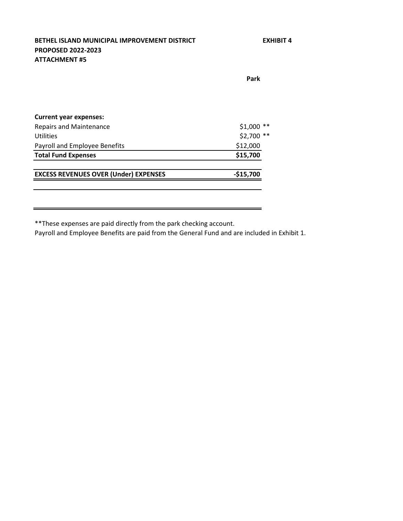**BETHEL ISLAND MUNICIPAL IMPROVEMENT DISTRICT EXHIBIT 4 PROPOSED 2022-2023 ATTACHMENT #5**

**Park**

L,

| <b>Current year expenses:</b>                |                 |
|----------------------------------------------|-----------------|
| Repairs and Maintenance                      | $$1,000$ **     |
| Utilities                                    | \$2,700<br>$**$ |
| Payroll and Employee Benefits                | \$12,000        |
| <b>Total Fund Expenses</b>                   | \$15,700        |
| <b>EXCESS REVENUES OVER (Under) EXPENSES</b> | $-$15,700$      |
|                                              |                 |

\*\*These expenses are paid directly from the park checking account.

Payroll and Employee Benefits are paid from the General Fund and are included in Exhibit 1.

<u> 1989 - Johann Barn, mars ann an t-Amhainn an t-Amhainn an t-Amhainn an t-Amhainn an t-Amhainn an t-Amhainn an</u>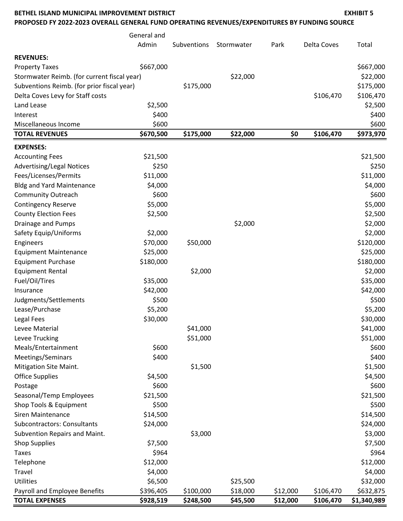#### **BETHEL ISLAND MUNICIPAL IMPROVEMENT DISTRICT EXHIBIT 5**

**PROPOSED FY 2022-2023 OVERALL GENERAL FUND OPERATING REVENUES/EXPENDITURES BY FUNDING SOURCE**

|                                             | General and |             |            |          |                    |             |
|---------------------------------------------|-------------|-------------|------------|----------|--------------------|-------------|
|                                             | Admin       | Subventions | Stormwater | Park     | <b>Delta Coves</b> | Total       |
| <b>REVENUES:</b>                            |             |             |            |          |                    |             |
| <b>Property Taxes</b>                       | \$667,000   |             |            |          |                    | \$667,000   |
| Stormwater Reimb. (for current fiscal year) |             |             | \$22,000   |          |                    | \$22,000    |
| Subventions Reimb. (for prior fiscal year)  |             | \$175,000   |            |          |                    | \$175,000   |
| Delta Coves Levy for Staff costs            |             |             |            |          | \$106,470          | \$106,470   |
| Land Lease                                  | \$2,500     |             |            |          |                    | \$2,500     |
| Interest                                    | \$400       |             |            |          |                    | \$400       |
| Miscellaneous Income                        | \$600       |             |            |          |                    | \$600       |
| <b>TOTAL REVENUES</b>                       | \$670,500   | \$175,000   | \$22,000   | \$0      | \$106,470          | \$973,970   |
| <b>EXPENSES:</b>                            |             |             |            |          |                    |             |
| <b>Accounting Fees</b>                      | \$21,500    |             |            |          |                    | \$21,500    |
| <b>Advertising/Legal Notices</b>            | \$250       |             |            |          |                    | \$250       |
| Fees/Licenses/Permits                       | \$11,000    |             |            |          |                    | \$11,000    |
| <b>Bldg and Yard Maintenance</b>            | \$4,000     |             |            |          |                    | \$4,000     |
| <b>Community Outreach</b>                   | \$600       |             |            |          |                    | \$600       |
| <b>Contingency Reserve</b>                  | \$5,000     |             |            |          |                    | \$5,000     |
| <b>County Election Fees</b>                 | \$2,500     |             |            |          |                    | \$2,500     |
| Drainage and Pumps                          |             |             | \$2,000    |          |                    | \$2,000     |
| Safety Equip/Uniforms                       | \$2,000     |             |            |          |                    | \$2,000     |
| Engineers                                   | \$70,000    | \$50,000    |            |          |                    | \$120,000   |
| <b>Equipment Maintenance</b>                | \$25,000    |             |            |          |                    | \$25,000    |
| <b>Equipment Purchase</b>                   | \$180,000   |             |            |          |                    | \$180,000   |
| <b>Equipment Rental</b>                     |             | \$2,000     |            |          |                    | \$2,000     |
| Fuel/Oil/Tires                              | \$35,000    |             |            |          |                    | \$35,000    |
| Insurance                                   | \$42,000    |             |            |          |                    | \$42,000    |
| Judgments/Settlements                       | \$500       |             |            |          |                    | \$500       |
| Lease/Purchase                              | \$5,200     |             |            |          |                    | \$5,200     |
| Legal Fees                                  | \$30,000    |             |            |          |                    | \$30,000    |
| Levee Material                              |             | \$41,000    |            |          |                    | \$41,000    |
| Levee Trucking                              |             | \$51,000    |            |          |                    | \$51,000    |
| Meals/Entertainment                         | \$600       |             |            |          |                    | \$600       |
| Meetings/Seminars                           | \$400       |             |            |          |                    | \$400       |
| Mitigation Site Maint.                      |             | \$1,500     |            |          |                    | \$1,500     |
| <b>Office Supplies</b>                      | \$4,500     |             |            |          |                    | \$4,500     |
| Postage                                     | \$600       |             |            |          |                    | \$600       |
| Seasonal/Temp Employees                     | \$21,500    |             |            |          |                    | \$21,500    |
| Shop Tools & Equipment                      | \$500       |             |            |          |                    | \$500       |
| <b>Siren Maintenance</b>                    | \$14,500    |             |            |          |                    | \$14,500    |
| Subcontractors: Consultants                 | \$24,000    |             |            |          |                    | \$24,000    |
| Subvention Repairs and Maint.               |             | \$3,000     |            |          |                    | \$3,000     |
| <b>Shop Supplies</b>                        | \$7,500     |             |            |          |                    | \$7,500     |
| <b>Taxes</b>                                | \$964       |             |            |          |                    | \$964       |
| Telephone                                   | \$12,000    |             |            |          |                    | \$12,000    |
| Travel                                      | \$4,000     |             |            |          |                    | \$4,000     |
| Utilities                                   | \$6,500     |             | \$25,500   |          |                    | \$32,000    |
| Payroll and Employee Benefits               | \$396,405   | \$100,000   | \$18,000   | \$12,000 | \$106,470          | \$632,875   |
| <b>TOTAL EXPENSES</b>                       | \$928,519   | \$248,500   | \$45,500   | \$12,000 | \$106,470          | \$1,340,989 |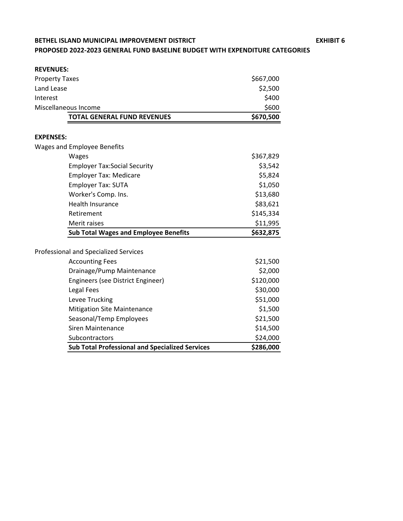# **BETHEL ISLAND MUNICIPAL IMPROVEMENT DISTRICT EXHIBIT 6 PROPOSED 2022-2023 GENERAL FUND BASELINE BUDGET WITH EXPENDITURE CATEGORIES**

| <b>REVENUES:</b>      |                                                        |           |
|-----------------------|--------------------------------------------------------|-----------|
| <b>Property Taxes</b> |                                                        | \$667,000 |
| Land Lease            |                                                        | \$2,500   |
| Interest              |                                                        | \$400     |
|                       | Miscellaneous Income                                   | \$600     |
|                       | <b>TOTAL GENERAL FUND REVENUES</b>                     | \$670,500 |
|                       |                                                        |           |
| <b>EXPENSES:</b>      |                                                        |           |
|                       | <b>Wages and Employee Benefits</b>                     |           |
|                       | Wages                                                  | \$367,829 |
|                       | <b>Employer Tax:Social Security</b>                    | \$3,542   |
|                       | <b>Employer Tax: Medicare</b>                          | \$5,824   |
|                       | Employer Tax: SUTA                                     | \$1,050   |
|                       | Worker's Comp. Ins.                                    | \$13,680  |
|                       | <b>Health Insurance</b>                                | \$83,621  |
|                       | Retirement                                             | \$145,334 |
|                       | Merit raises                                           | \$11,995  |
|                       | <b>Sub Total Wages and Employee Benefits</b>           | \$632,875 |
|                       | Professional and Specialized Services                  |           |
|                       | <b>Accounting Fees</b>                                 | \$21,500  |
|                       | Drainage/Pump Maintenance                              | \$2,000   |
|                       | Engineers (see District Engineer)                      | \$120,000 |
|                       | Legal Fees                                             | \$30,000  |
|                       |                                                        |           |
|                       | Levee Trucking                                         | \$51,000  |
|                       | <b>Mitigation Site Maintenance</b>                     | \$1,500   |
|                       | Seasonal/Temp Employees                                | \$21,500  |
|                       | <b>Siren Maintenance</b>                               | \$14,500  |
|                       | Subcontractors                                         | \$24,000  |
|                       | <b>Sub Total Professional and Specialized Services</b> | \$286,000 |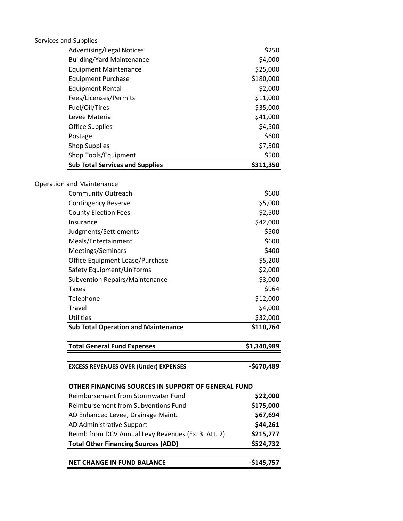| Services and Supplies |                                                     |             |
|-----------------------|-----------------------------------------------------|-------------|
|                       | <b>Advertising/Legal Notices</b>                    | \$250       |
|                       | <b>Building/Yard Maintenance</b>                    | \$4,000     |
|                       | <b>Equipment Maintenance</b>                        | \$25,000    |
|                       | <b>Equipment Purchase</b>                           | \$180,000   |
|                       | <b>Equipment Rental</b>                             | \$2,000     |
|                       | Fees/Licenses/Permits                               | \$11,000    |
|                       | Fuel/Oil/Tires                                      | \$35,000    |
|                       | Levee Material                                      | \$41,000    |
|                       | <b>Office Supplies</b>                              | \$4,500     |
|                       | Postage                                             | \$600       |
|                       | <b>Shop Supplies</b>                                | \$7,500     |
|                       | Shop Tools/Equipment                                | \$500       |
|                       | <b>Sub Total Services and Supplies</b>              | \$311,350   |
|                       |                                                     |             |
|                       | <b>Operation and Maintenance</b>                    |             |
|                       | <b>Community Outreach</b>                           | \$600       |
|                       | <b>Contingency Reserve</b>                          | \$5,000     |
|                       | <b>County Election Fees</b>                         | \$2,500     |
|                       | Insurance                                           | \$42,000    |
|                       | Judgments/Settlements                               | \$500       |
|                       | Meals/Entertainment                                 | \$600       |
|                       | Meetings/Seminars                                   | \$400       |
|                       | Office Equipment Lease/Purchase                     | \$5,200     |
|                       | Safety Equipment/Uniforms                           | \$2,000     |
|                       | <b>Subvention Repairs/Maintenance</b>               | \$3,000     |
|                       | <b>Taxes</b>                                        | \$964       |
|                       | Telephone                                           | \$12,000    |
|                       | Travel                                              | \$4,000     |
|                       | <b>Utilities</b>                                    | \$32,000    |
|                       | <b>Sub Total Operation and Maintenance</b>          | \$110,764   |
|                       | <b>Total General Fund Expenses</b>                  | \$1,340,989 |
|                       | <b>EXCESS REVENUES OVER (Under) EXPENSES</b>        | -\$670,489  |
|                       | OTHER FINANCING SOURCES IN SUPPORT OF GENERAL FUND  |             |
|                       | Reimbursement from Stormwater Fund                  | \$22,000    |
|                       | <b>Reimbursement from Subventions Fund</b>          | \$175,000   |
|                       | AD Enhanced Levee, Drainage Maint.                  | \$67,694    |
|                       | AD Administrative Support                           | \$44,261    |
|                       | Reimb from DCV Annual Levy Revenues (Ex. 3, Att. 2) | \$215,777   |
|                       | <b>Total Other Financing Sources (ADD)</b>          | \$524,732   |
|                       | <b>NET CHANGE IN FUND BALANCE</b>                   | $-$145,757$ |
|                       |                                                     |             |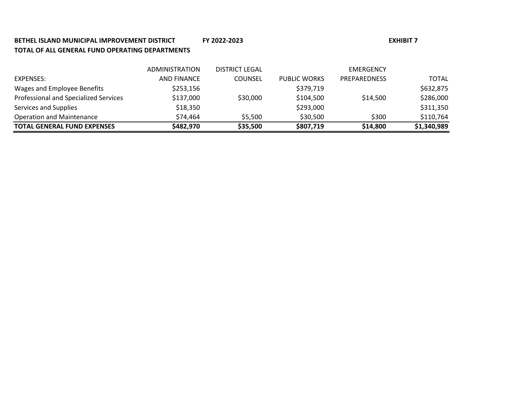# **BETHEL ISLAND MUNICIPAL IMPROVEMENT DISTRICT FY 2022-2023 TOTAL OF ALL GENERAL FUND OPERATING DEPARTMENTS**

| <b>TOTAL GENERAL FUND EXPENSES</b>    | \$482,970             | \$35,500       | \$807,719           | \$14,800            | \$1,340,989 |
|---------------------------------------|-----------------------|----------------|---------------------|---------------------|-------------|
| <b>Operation and Maintenance</b>      | \$74,464              | \$5.500        | \$30,500            | \$300               | \$110,764   |
| Services and Supplies                 | \$18,350              |                | \$293,000           |                     | \$311,350   |
| Professional and Specialized Services | \$137,000             | \$30,000       | \$104,500           | \$14,500            | \$286,000   |
| Wages and Employee Benefits           | \$253,156             |                | \$379,719           |                     | \$632,875   |
| EXPENSES:                             | <b>AND FINANCE</b>    | <b>COUNSEL</b> | <b>PUBLIC WORKS</b> | <b>PREPAREDNESS</b> | TOTAL       |
|                                       | <b>ADMINISTRATION</b> | DISTRICT LEGAL |                     | EMERGENCY           |             |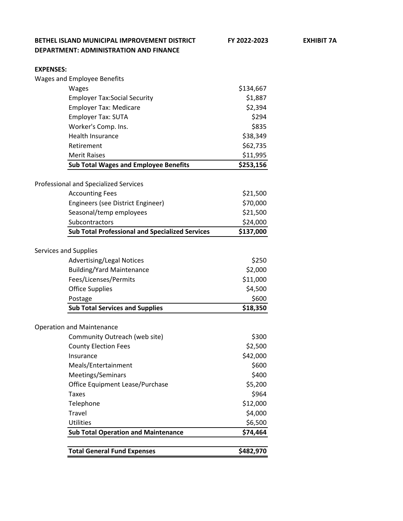| <b>EXPENSES:</b>      |                                                        |           |
|-----------------------|--------------------------------------------------------|-----------|
|                       | <b>Wages and Employee Benefits</b>                     |           |
|                       | Wages                                                  | \$134,667 |
|                       | <b>Employer Tax:Social Security</b>                    | \$1,887   |
|                       | <b>Employer Tax: Medicare</b>                          | \$2,394   |
|                       | <b>Employer Tax: SUTA</b>                              | \$294     |
|                       | Worker's Comp. Ins.                                    | \$835     |
|                       | <b>Health Insurance</b>                                | \$38,349  |
|                       | Retirement                                             | \$62,735  |
|                       | <b>Merit Raises</b>                                    | \$11,995  |
|                       | <b>Sub Total Wages and Employee Benefits</b>           | \$253,156 |
|                       |                                                        |           |
|                       | Professional and Specialized Services                  |           |
|                       | <b>Accounting Fees</b>                                 | \$21,500  |
|                       | Engineers (see District Engineer)                      | \$70,000  |
|                       | Seasonal/temp employees                                | \$21,500  |
|                       | Subcontractors                                         | \$24,000  |
|                       | <b>Sub Total Professional and Specialized Services</b> | \$137,000 |
|                       |                                                        |           |
| Services and Supplies |                                                        | \$250     |
|                       | <b>Advertising/Legal Notices</b>                       | \$2,000   |
|                       | <b>Building/Yard Maintenance</b>                       |           |
|                       | Fees/Licenses/Permits                                  | \$11,000  |
|                       | <b>Office Supplies</b>                                 | \$4,500   |
|                       | Postage                                                | \$600     |
|                       | <b>Sub Total Services and Supplies</b>                 | \$18,350  |
|                       | <b>Operation and Maintenance</b>                       |           |
|                       | Community Outreach (web site)                          | \$300     |
|                       | <b>County Election Fees</b>                            | \$2,500   |
|                       | Insurance                                              | \$42,000  |
|                       | Meals/Entertainment                                    | \$600     |
|                       | Meetings/Seminars                                      | \$400     |
|                       | Office Equipment Lease/Purchase                        | \$5,200   |
|                       | <b>Taxes</b>                                           | \$964     |
|                       | Telephone                                              | \$12,000  |
|                       | Travel                                                 | \$4,000   |
|                       | <b>Utilities</b>                                       | \$6,500   |
|                       | <b>Sub Total Operation and Maintenance</b>             | \$74,464  |
|                       |                                                        |           |
|                       | <b>Total General Fund Expenses</b>                     | \$482,970 |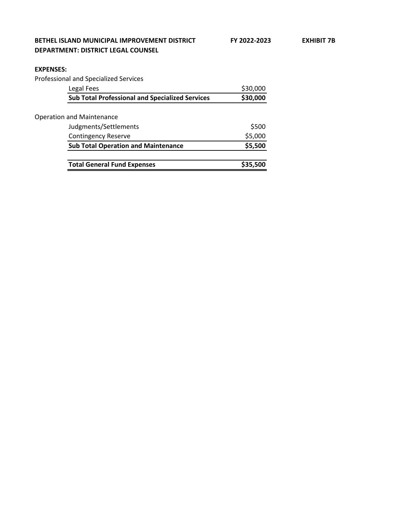#### **EXPENSES:**

Professional and Specialized Services

| Legal Fees                                             | \$30,000 |
|--------------------------------------------------------|----------|
| <b>Sub Total Professional and Specialized Services</b> | \$30,000 |
| <b>Operation and Maintenance</b>                       |          |
| Judgments/Settlements                                  | \$500    |
| <b>Contingency Reserve</b>                             | \$5,000  |
| <b>Sub Total Operation and Maintenance</b>             | \$5,500  |
|                                                        |          |
| <b>Total General Fund Expenses</b>                     | \$35,500 |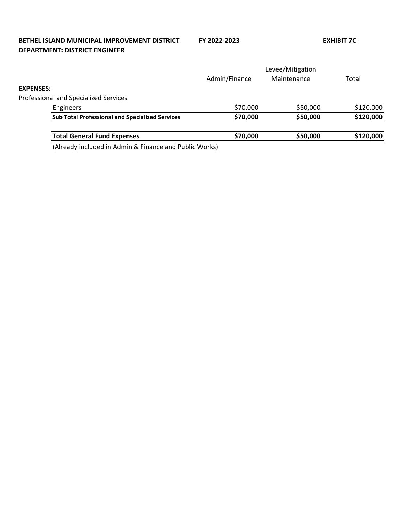## **BETHEL ISLAND MUNICIPAL IMPROVEMENT DISTRICT FY 2022-2023 EXHIBIT 7C DEPARTMENT: DISTRICT ENGINEER**

|                  |                                                        | Levee/Mitigation |             |           |
|------------------|--------------------------------------------------------|------------------|-------------|-----------|
|                  |                                                        | Admin/Finance    | Maintenance | Total     |
| <b>EXPENSES:</b> |                                                        |                  |             |           |
|                  | <b>Professional and Specialized Services</b>           |                  |             |           |
|                  | Engineers                                              | \$70,000         | \$50,000    | \$120,000 |
|                  | <b>Sub Total Professional and Specialized Services</b> | \$70,000         | \$50,000    | \$120,000 |
|                  | <b>Total General Fund Expenses</b>                     | \$70,000         | \$50,000    | \$120,000 |
|                  | .                                                      |                  |             |           |

(Already included in Admin & Finance and Public Works)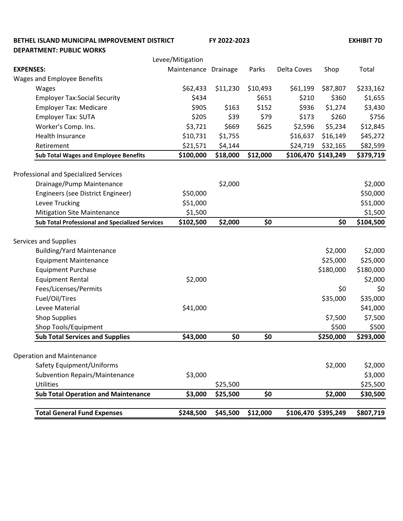**BETHEL ISLAND MUNICIPAL IMPROVEMENT DISTRICT FY 2022-2023 EXHIBIT 7D DEPARTMENT: PUBLIC WORKS** Levee/Mitigation **EXPENSES:** Maintenance Drainage Parks Delta Coves Shop Total Wages and Employee Benefits Wages \$62,433 \$11,230 \$10,493 \$61,199 \$87,807 \$233,162 Employer Tax:Social Security  $$434$   $$651$   $$210$   $$360$   $$1,655$ Employer Tax: Medicare 1990 5905 \$163 \$152 \$936 \$1,274 \$3,430 Employer Tax: SUTA \$205 \$39 \$79 \$173 \$260 \$756 Worker's Comp. Ins. \$3,721 \$669 \$625 \$2,596 \$5,234 \$12,845 Health Insurance 645,272 \$10,731 \$1,755 \$16,637 \$16,149 \$45,272 Retirement \$21,571 \$4,144 \$24,719 \$32,165 \$82,599 **Sub Total Wages and Employee Benefits \$100,000 \$18,000 \$12,000 \$106,470 \$143,249 \$379,719** Professional and Specialized Services Drainage/Pump Maintenance  $$2,000$  \$2,000 \$2,000 \$2,000 Engineers (see District Engineer)  $$50,000$ Levee Trucking 651,000 \$51,000 \$51,000 \$51,000 \$51,000 \$51,000 \$51,000 \$551,000 \$551,000 \$551,000 \$551,000 \$55 Mitigation Site Maintenance  $$1,500$  \$1,500 **Sub Total Professional and Specialized Services \$102,500 \$2,000 \$0 \$0 \$104,500** Services and Supplies Building/Yard Maintenance **\$2,000** \$2,000 \$2,000 \$2,000 \$2,000 \$2,000 \$2,000 \$2,000 \$2,000 \$2,000 \$2,000 \$2,000 \$2,000 \$2,000 \$2,000 \$2,000 \$2,000 \$2,000 \$2,000 \$2,000 \$2,000 \$2,000 \$2,000 \$2,000 \$2,000 \$2,000 \$2,000 \$2,00 Equipment Maintenance \$25,000 \$25,000 \$25,000 \$25,000 \$25,000 \$25,000 \$25,000 \$25,000 \$25,000 \$25,000 \$25,000 Equipment Purchase \$180,000 \$180,000 \$180,000 \$180,000 \$180,000 \$180,000 \$180,000 \$180,000 \$180,000 \$180,000 \$1 Equipment Rental \$2,000 \$2,000 \$2,000 \$2,000 \$2,000 \$2,000 \$2,000 \$2,000 \$2,000 \$2,000 \$2,000 \$2,000 \$2,000 \$2,000 Fees/Licenses/Permits \$0 \$0 Fuel/Oil/Tires \$35,000 \$35,000 Levee Material  $\zeta$ 41,000 \$41,000 \$41,000 \$41,000 \$41,000 \$41,000 Shop Supplies \$7,500 \$7,500 Shop Tools/Equipment \$500 \$500 **Sub Total Services and Supplies \$43,000 \$0 \$0 \$250,000 \$293,000** Operation and Maintenance Safety Equipment/Uniforms **\$2,000** \$2,000 \$2,000 \$2,000 \$2,000 \$2,000 \$2,000 \$2,000 \$2,000 \$2,000 \$2,000 \$2,000 \$2,000 \$2,000 \$2,000 \$2,000 \$2,000 \$2,000 \$2,000 \$2,000 \$2,000 \$2,000 \$2,000 \$2,000 \$2,000 \$2,000 \$2,000 \$2,00 Subvention Repairs/Maintenance \$3,000 \$3,000 Utilities \$25,500 \$25,500 **Sub Total Operation and Maintenance \$3,000 \$25,500 \$0 \$2,000 \$30,500 Total General Fund Expenses \$248,500 \$45,500 \$12,000 \$106,470 \$395,249 \$807,719**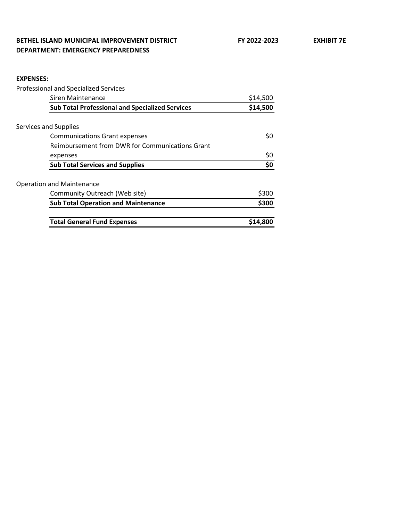## **BETHEL ISLAND MUNICIPAL IMPROVEMENT DISTRICT FY 2022-2023 EXHIBIT 7E DEPARTMENT: EMERGENCY PREPAREDNESS**

#### **EXPENSES:**

Professional and Specialized Services

| <b>Siren Maintenance</b>                               | \$14,500 |
|--------------------------------------------------------|----------|
| <b>Sub Total Professional and Specialized Services</b> | \$14,500 |
| Services and Supplies                                  |          |
| <b>Communications Grant expenses</b>                   | Ş0       |
| Reimbursement from DWR for Communications Grant        |          |
| expenses                                               | \$0      |
| <b>Sub Total Services and Supplies</b>                 | \$0      |
| <b>Operation and Maintenance</b>                       |          |
| Community Outreach (Web site)                          | \$300    |
| <b>Sub Total Operation and Maintenance</b>             | \$300    |
| <b>Total General Fund Expenses</b>                     | \$14,800 |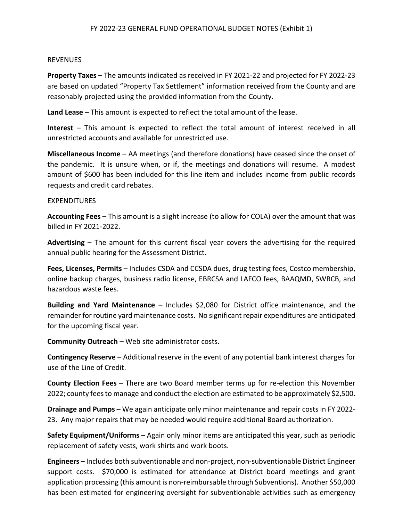#### REVENUES

**Property Taxes** – The amounts indicated as received in FY 2021-22 and projected for FY 2022-23 are based on updated "Property Tax Settlement" information received from the County and are reasonably projected using the provided information from the County.

**Land Lease** – This amount is expected to reflect the total amount of the lease.

**Interest** – This amount is expected to reflect the total amount of interest received in all unrestricted accounts and available for unrestricted use.

**Miscellaneous Income** – AA meetings (and therefore donations) have ceased since the onset of the pandemic. It is unsure when, or if, the meetings and donations will resume. A modest amount of \$600 has been included for this line item and includes income from public records requests and credit card rebates.

#### EXPENDITURES

**Accounting Fees** – This amount is a slight increase (to allow for COLA) over the amount that was billed in FY 2021-2022.

**Advertising** – The amount for this current fiscal year covers the advertising for the required annual public hearing for the Assessment District.

**Fees, Licenses, Permits** – Includes CSDA and CCSDA dues, drug testing fees, Costco membership, online backup charges, business radio license, EBRCSA and LAFCO fees, BAAQMD, SWRCB, and hazardous waste fees.

**Building and Yard Maintenance** – Includes \$2,080 for District office maintenance, and the remainder for routine yard maintenance costs. No significant repair expenditures are anticipated for the upcoming fiscal year.

**Community Outreach** – Web site administrator costs.

**Contingency Reserve** – Additional reserve in the event of any potential bank interest charges for use of the Line of Credit.

**County Election Fees** – There are two Board member terms up for re-election this November 2022; county fees to manage and conduct the election are estimated to be approximately \$2,500.

**Drainage and Pumps** – We again anticipate only minor maintenance and repair costs in FY 2022- 23. Any major repairs that may be needed would require additional Board authorization.

**Safety Equipment/Uniforms** – Again only minor items are anticipated this year, such as periodic replacement of safety vests, work shirts and work boots.

**Engineers** – Includes both subventionable and non-project, non-subventionable District Engineer support costs. \$70,000 is estimated for attendance at District board meetings and grant application processing (this amount is non-reimbursable through Subventions). Another \$50,000 has been estimated for engineering oversight for subventionable activities such as emergency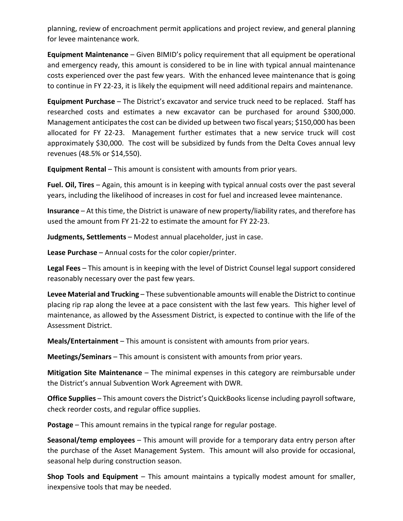planning, review of encroachment permit applications and project review, and general planning for levee maintenance work.

**Equipment Maintenance** – Given BIMID's policy requirement that all equipment be operational and emergency ready, this amount is considered to be in line with typical annual maintenance costs experienced over the past few years. With the enhanced levee maintenance that is going to continue in FY 22-23, it is likely the equipment will need additional repairs and maintenance.

**Equipment Purchase** – The District's excavator and service truck need to be replaced. Staff has researched costs and estimates a new excavator can be purchased for around \$300,000. Management anticipates the cost can be divided up between two fiscal years; \$150,000 has been allocated for FY 22-23. Management further estimates that a new service truck will cost approximately \$30,000. The cost will be subsidized by funds from the Delta Coves annual levy revenues (48.5% or \$14,550).

**Equipment Rental** – This amount is consistent with amounts from prior years.

**Fuel. Oil, Tires** – Again, this amount is in keeping with typical annual costs over the past several years, including the likelihood of increases in cost for fuel and increased levee maintenance.

**Insurance** – At this time, the District is unaware of new property/liability rates, and therefore has used the amount from FY 21-22 to estimate the amount for FY 22-23.

**Judgments, Settlements** – Modest annual placeholder, just in case.

**Lease Purchase** – Annual costs for the color copier/printer.

**Legal Fees** – This amount is in keeping with the level of District Counsel legal support considered reasonably necessary over the past few years.

**Levee Material and Trucking** – These subventionable amounts will enable the District to continue placing rip rap along the levee at a pace consistent with the last few years. This higher level of maintenance, as allowed by the Assessment District, is expected to continue with the life of the Assessment District.

**Meals/Entertainment** – This amount is consistent with amounts from prior years.

**Meetings/Seminars** – This amount is consistent with amounts from prior years.

**Mitigation Site Maintenance** – The minimal expenses in this category are reimbursable under the District's annual Subvention Work Agreement with DWR.

**Office Supplies** – This amount covers the District's QuickBooks license including payroll software, check reorder costs, and regular office supplies.

**Postage** – This amount remains in the typical range for regular postage.

**Seasonal/temp employees** – This amount will provide for a temporary data entry person after the purchase of the Asset Management System. This amount will also provide for occasional, seasonal help during construction season.

**Shop Tools and Equipment** – This amount maintains a typically modest amount for smaller, inexpensive tools that may be needed.